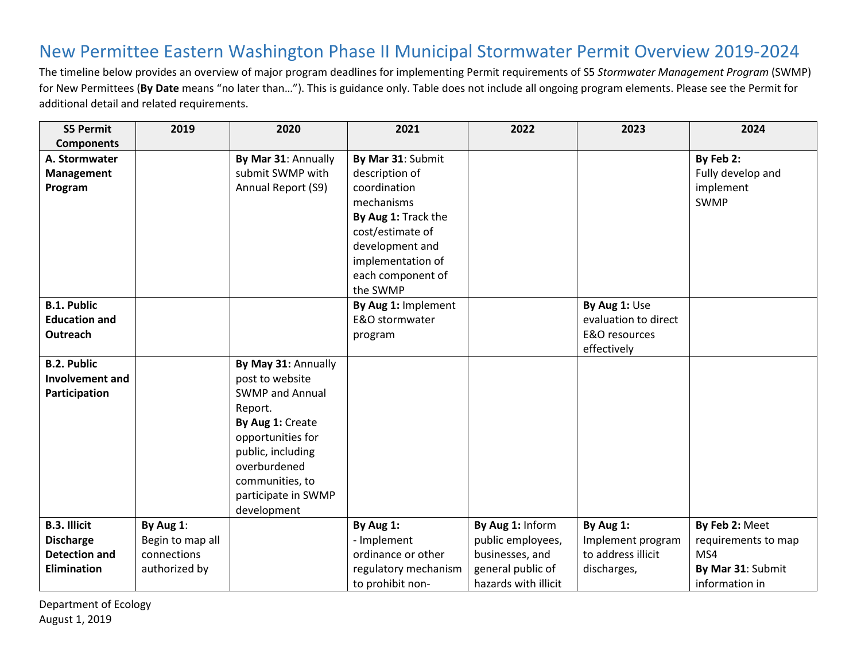## New Permittee Eastern Washington Phase II Municipal Stormwater Permit Overview 2019-2024

The timeline below provides an overview of major program deadlines for implementing Permit requirements of S5 *Stormwater Management Program* (SWMP) for New Permittees (**By Date** means "no later than…"). This is guidance only. Table does not include all ongoing program elements. Please see the Permit for additional detail and related requirements.

| <b>S5 Permit</b>       | 2019             | 2020                   | 2021                 | 2022                 | 2023                 | 2024                |
|------------------------|------------------|------------------------|----------------------|----------------------|----------------------|---------------------|
| <b>Components</b>      |                  |                        |                      |                      |                      |                     |
| A. Stormwater          |                  | By Mar 31: Annually    | By Mar 31: Submit    |                      |                      | By Feb 2:           |
| Management             |                  | submit SWMP with       | description of       |                      |                      | Fully develop and   |
| Program                |                  | Annual Report (S9)     | coordination         |                      |                      | implement           |
|                        |                  |                        | mechanisms           |                      |                      | SWMP                |
|                        |                  |                        | By Aug 1: Track the  |                      |                      |                     |
|                        |                  |                        | cost/estimate of     |                      |                      |                     |
|                        |                  |                        | development and      |                      |                      |                     |
|                        |                  |                        | implementation of    |                      |                      |                     |
|                        |                  |                        | each component of    |                      |                      |                     |
|                        |                  |                        | the SWMP             |                      |                      |                     |
| <b>B.1. Public</b>     |                  |                        | By Aug 1: Implement  |                      | By Aug 1: Use        |                     |
| <b>Education and</b>   |                  |                        | E&O stormwater       |                      | evaluation to direct |                     |
| Outreach               |                  |                        | program              |                      | E&O resources        |                     |
|                        |                  |                        |                      |                      | effectively          |                     |
| <b>B.2. Public</b>     |                  | By May 31: Annually    |                      |                      |                      |                     |
| <b>Involvement and</b> |                  | post to website        |                      |                      |                      |                     |
| Participation          |                  | <b>SWMP and Annual</b> |                      |                      |                      |                     |
|                        |                  | Report.                |                      |                      |                      |                     |
|                        |                  | By Aug 1: Create       |                      |                      |                      |                     |
|                        |                  | opportunities for      |                      |                      |                      |                     |
|                        |                  | public, including      |                      |                      |                      |                     |
|                        |                  | overburdened           |                      |                      |                      |                     |
|                        |                  | communities, to        |                      |                      |                      |                     |
|                        |                  | participate in SWMP    |                      |                      |                      |                     |
|                        |                  | development            |                      |                      |                      |                     |
| <b>B.3. Illicit</b>    | By Aug 1:        |                        | By Aug 1:            | By Aug 1: Inform     | By Aug 1:            | By Feb 2: Meet      |
| <b>Discharge</b>       | Begin to map all |                        | - Implement          | public employees,    | Implement program    | requirements to map |
| <b>Detection and</b>   | connections      |                        | ordinance or other   | businesses, and      | to address illicit   | MS4                 |
| <b>Elimination</b>     | authorized by    |                        | regulatory mechanism | general public of    | discharges,          | By Mar 31: Submit   |
|                        |                  |                        | to prohibit non-     | hazards with illicit |                      | information in      |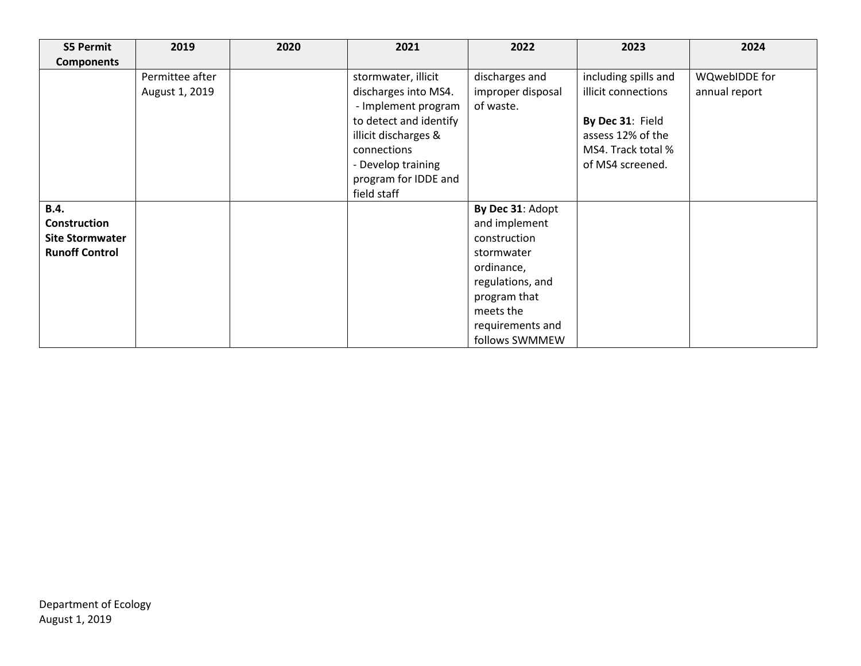| <b>S5 Permit</b>       | 2019            | 2020 | 2021                   | 2022              | 2023                 | 2024          |
|------------------------|-----------------|------|------------------------|-------------------|----------------------|---------------|
| <b>Components</b>      |                 |      |                        |                   |                      |               |
|                        | Permittee after |      | stormwater, illicit    | discharges and    | including spills and | WQwebIDDE for |
|                        | August 1, 2019  |      | discharges into MS4.   | improper disposal | illicit connections  | annual report |
|                        |                 |      | - Implement program    | of waste.         |                      |               |
|                        |                 |      | to detect and identify |                   | By Dec 31: Field     |               |
|                        |                 |      | illicit discharges &   |                   | assess 12% of the    |               |
|                        |                 |      | connections            |                   | MS4. Track total %   |               |
|                        |                 |      | - Develop training     |                   | of MS4 screened.     |               |
|                        |                 |      | program for IDDE and   |                   |                      |               |
|                        |                 |      | field staff            |                   |                      |               |
| <b>B.4.</b>            |                 |      |                        | By Dec 31: Adopt  |                      |               |
| <b>Construction</b>    |                 |      |                        | and implement     |                      |               |
| <b>Site Stormwater</b> |                 |      |                        | construction      |                      |               |
| <b>Runoff Control</b>  |                 |      |                        | stormwater        |                      |               |
|                        |                 |      |                        | ordinance,        |                      |               |
|                        |                 |      |                        | regulations, and  |                      |               |
|                        |                 |      |                        | program that      |                      |               |
|                        |                 |      |                        | meets the         |                      |               |
|                        |                 |      |                        | requirements and  |                      |               |
|                        |                 |      |                        | follows SWMMEW    |                      |               |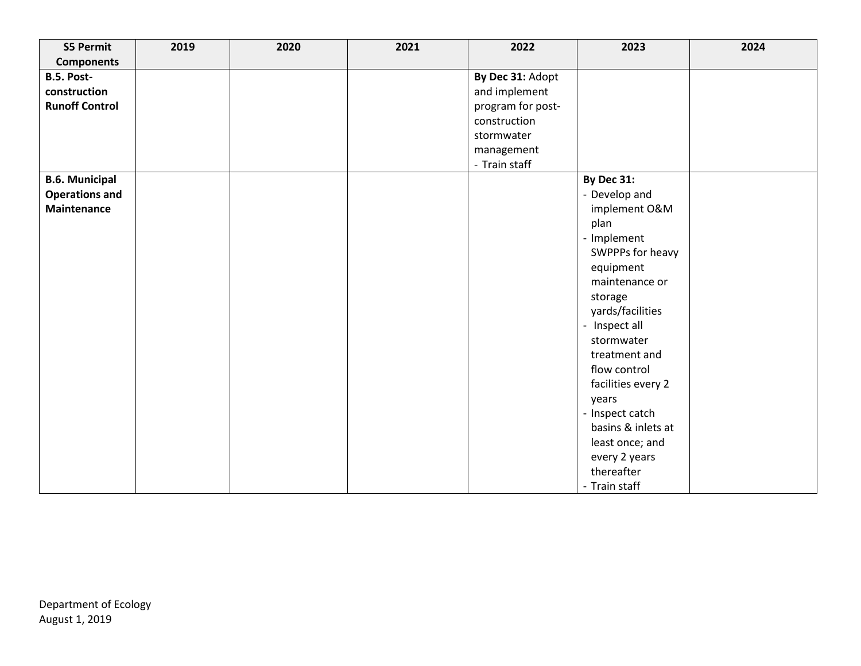| <b>S5 Permit</b>      | 2019 | 2020 | 2021 | 2022              | 2023               | 2024 |
|-----------------------|------|------|------|-------------------|--------------------|------|
| <b>Components</b>     |      |      |      |                   |                    |      |
| B.5. Post-            |      |      |      | By Dec 31: Adopt  |                    |      |
| construction          |      |      |      | and implement     |                    |      |
| <b>Runoff Control</b> |      |      |      | program for post- |                    |      |
|                       |      |      |      | construction      |                    |      |
|                       |      |      |      | stormwater        |                    |      |
|                       |      |      |      | management        |                    |      |
|                       |      |      |      | - Train staff     |                    |      |
| <b>B.6. Municipal</b> |      |      |      |                   | By Dec 31:         |      |
| <b>Operations and</b> |      |      |      |                   | - Develop and      |      |
| <b>Maintenance</b>    |      |      |      |                   | implement O&M      |      |
|                       |      |      |      |                   | plan               |      |
|                       |      |      |      |                   | - Implement        |      |
|                       |      |      |      |                   | SWPPPs for heavy   |      |
|                       |      |      |      |                   | equipment          |      |
|                       |      |      |      |                   | maintenance or     |      |
|                       |      |      |      |                   | storage            |      |
|                       |      |      |      |                   | yards/facilities   |      |
|                       |      |      |      |                   | - Inspect all      |      |
|                       |      |      |      |                   | stormwater         |      |
|                       |      |      |      |                   | treatment and      |      |
|                       |      |      |      |                   | flow control       |      |
|                       |      |      |      |                   | facilities every 2 |      |
|                       |      |      |      |                   | years              |      |
|                       |      |      |      |                   | - Inspect catch    |      |
|                       |      |      |      |                   | basins & inlets at |      |
|                       |      |      |      |                   | least once; and    |      |
|                       |      |      |      |                   | every 2 years      |      |
|                       |      |      |      |                   | thereafter         |      |
|                       |      |      |      |                   | - Train staff      |      |